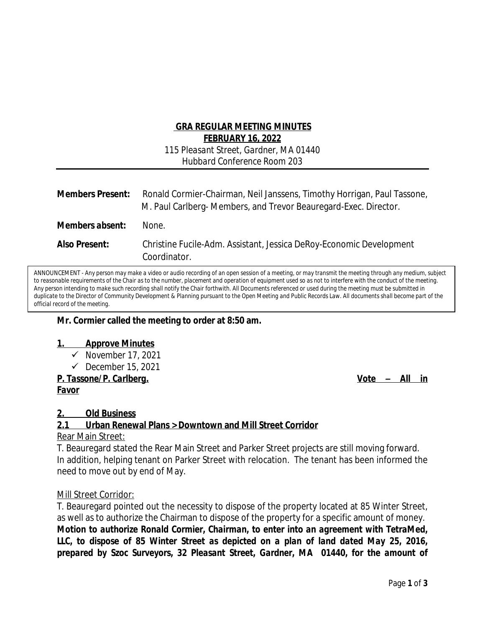## **GRA REGULAR MEETING MINUTES FEBRUARY 16, 2022**

*115 Pleasant Street, Gardner, MA 01440 Hubbard Conference Room 203*

| <b>Members Present:</b> | Ronald Cormier-Chairman, Neil Janssens, Timothy Horrigan, Paul Tassone,<br>M. Paul Carlberg-Members, and Trevor Beauregard-Exec. Director. |
|-------------------------|--------------------------------------------------------------------------------------------------------------------------------------------|
| Members absent:         | None.                                                                                                                                      |
| <b>Also Present:</b>    | Christine Fucile-Adm. Assistant, Jessica DeRoy-Economic Development<br>Coordinator.                                                        |

ANNOUNCEMENT - *Any person may make a video or audio recording of an open session of a meeting, or may transmit the meeting through any medium, subject to reasonable requirements of the Chair as to the number, placement and operation of equipment used so as not to interfere with the conduct of the meeting. Any person intending to make such recording shall notify the Chair forthwith. All Documents referenced or used during the meeting must be submitted in duplicate to the Director of Community Development & Planning pursuant to the Open Meeting and Public Records Law. All documents shall become part of the official record of the meeting.* 

#### **Mr. Cormier called the meeting to order at 8:50 am.**

#### **1. Approve Minutes**

- *November 17, 2021*
- *December 15, 2021*

*P. Tassone/P. Carlberg. Vote – All in Favor*

# **2. Old Business**

#### **2.1 Urban Renewal Plans > Downtown and Mill Street Corridor**

#### Rear Main Street:

T. Beauregard stated the Rear Main Street and Parker Street projects are still moving forward. In addition, helping tenant on Parker Street with relocation. The tenant has been informed the need to move out by end of May.

#### Mill Street Corridor:

T. Beauregard pointed out the necessity to dispose of the property located at 85 Winter Street, as well as to authorize the Chairman to dispose of the property for a specific amount of money. *Motion to authorize Ronald Cormier, Chairman, to enter into an agreement with TetraMed, LLC, to dispose of 85 Winter Street as depicted on a plan of land dated May 25, 2016, prepared by Szoc Surveyors, 32 Pleasant Street, Gardner, MA 01440, for the amount of*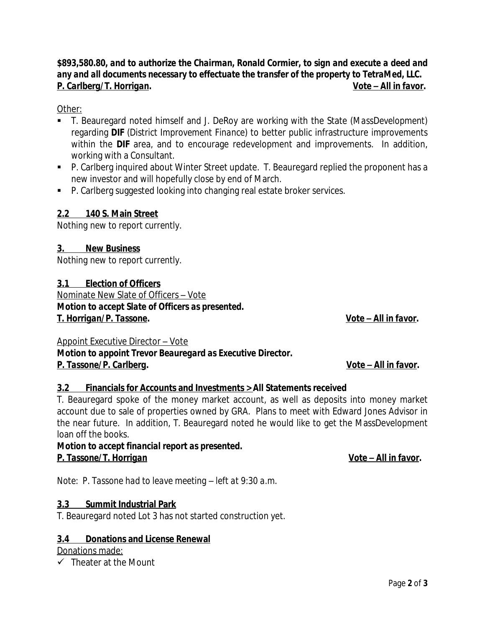*P. Tassone/P. Carlberg. Vote – All in favor.*

Appoint Executive Director – Vote *Motion to appoint Trevor Beauregard as Executive Director.*

# **3.2 Financials for Accounts and Investments > All Statements received**

T. Beauregard spoke of the money market account, as well as deposits into money market account due to sale of properties owned by GRA. Plans to meet with Edward Jones Advisor in the near future. In addition, T. Beauregard noted he would like to get the MassDevelopment loan off the books.

*Motion to accept financial report as presented. P. Tassone/T. Horrigan in the contract of the contract of the contract of the contract of the contract of the contract of the contract of the contract of the contract of the contract of the contract of the contract of t* 

*Note: P. Tassone had to leave meeting – left at 9:30 a.m.*

# **3.3 Summit Industrial Park**

T. Beauregard noted Lot 3 has not started construction yet.

## **3.4 Donations and License Renewal**

Donations made:

 $\checkmark$  Theater at the Mount

*\$893,580.80, and to authorize the Chairman, Ronald Cormier, to sign and execute a deed and any and all documents necessary to effectuate the transfer of the property to TetraMed, LLC. P. Carlberg/T. Horrigan. Vote – All in favor.*

Other:

- T. Beauregard noted himself and J. DeRoy are working with the State (*MassDevelopment*) regarding **DIF** (*District Improvement Finance*) to better public infrastructure improvements within the **DIF** area, and to encourage redevelopment and improvements. In addition, working with a Consultant.
- P. Carlberg inquired about Winter Street update. T. Beauregard replied the proponent has a new investor and will hopefully close by end of March.
- P. Carlberg suggested looking into changing real estate broker services.

# **2.2 140 S. Main Street**

*Nothing new to report currently*.

# **3. New Business**

*Nothing new to report currently.*

**3.1 Election of Officers**

Nominate New Slate of Officers – Vote *Motion to accept Slate of Officers as presented. T. Horrigan/P. Tassone. Vote – All in favor.*